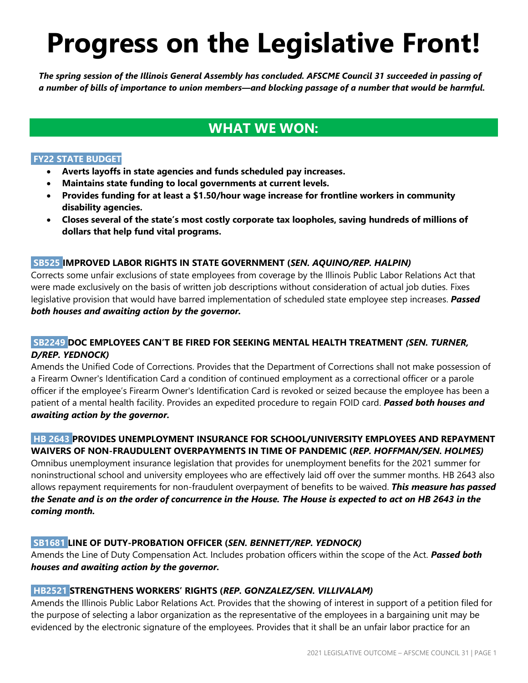# **Progress on the Legislative Front!**

*The spring session of the Illinois General Assembly has concluded. AFSCME Council 31 succeeded in passing of a number of bills of importance to union members—and blocking passage of a number that would be harmful.*

# **WHAT WE WON:**

# **FY22 STATE BUDGET**

- **Averts layoffs in state agencies and funds scheduled pay increases.**
- **Maintains state funding to local governments at current levels.**
- **Provides funding for at least a \$1.50/hour wage increase for frontline workers in community disability agencies.**
- **Closes several of the state's most costly corporate tax loopholes, saving hundreds of millions of dollars that help fund vital programs.**

## **SB525 IMPROVED LABOR RIGHTS IN STATE GOVERNMENT (***SEN. AQUINO/REP. HALPIN)*

Corrects some unfair exclusions of state employees from coverage by the Illinois Public Labor Relations Act that were made exclusively on the basis of written job descriptions without consideration of actual job duties. Fixes legislative provision that would have barred implementation of scheduled state employee step increases. *Passed both houses and awaiting action by the governor.*

# **SB2249 DOC EMPLOYEES CAN'T BE FIRED FOR SEEKING MENTAL HEALTH TREATMENT** *(SEN. TURNER, D/REP. YEDNOCK)*

Amends the Unified Code of Corrections. Provides that the Department of Corrections shall not make possession of a Firearm Owner's Identification Card a condition of continued employment as a correctional officer or a parole officer if the employee's Firearm Owner's Identification Card is revoked or seized because the employee has been a patient of a mental health facility. Provides an expedited procedure to regain FOID card. *Passed both houses and awaiting action by the governor.*

# **HB 2643 PROVIDES UNEMPLOYMENT INSURANCE FOR SCHOOL/UNIVERSITY EMPLOYEES AND REPAYMENT WAIVERS OF NON-FRAUDULENT OVERPAYMENTS IN TIME OF PANDEMIC (***REP. HOFFMAN/SEN. HOLMES)*

Omnibus unemployment insurance legislation that provides for unemployment benefits for the 2021 summer for noninstructional school and university employees who are effectively laid off over the summer months. HB 2643 also allows repayment requirements for non-fraudulent overpayment of benefits to be waived. *This measure has passed the Senate and is on the order of concurrence in the House. The House is expected to act on HB 2643 in the coming month.* 

# **SB1681 LINE OF DUTY-PROBATION OFFICER (***SEN. BENNETT/REP. YEDNOCK)*

Amends the Line of Duty Compensation Act. Includes probation officers within the scope of the Act. *Passed both houses and awaiting action by the governor.*

# **HB2521 STRENGTHENS WORKERS' RIGHTS (***REP. GONZALEZ/SEN. VILLIVALAM)*

Amends the Illinois Public Labor Relations Act. Provides that the showing of interest in support of a petition filed for the purpose of selecting a labor organization as the representative of the employees in a bargaining unit may be evidenced by the electronic signature of the employees. Provides that it shall be an unfair labor practice for an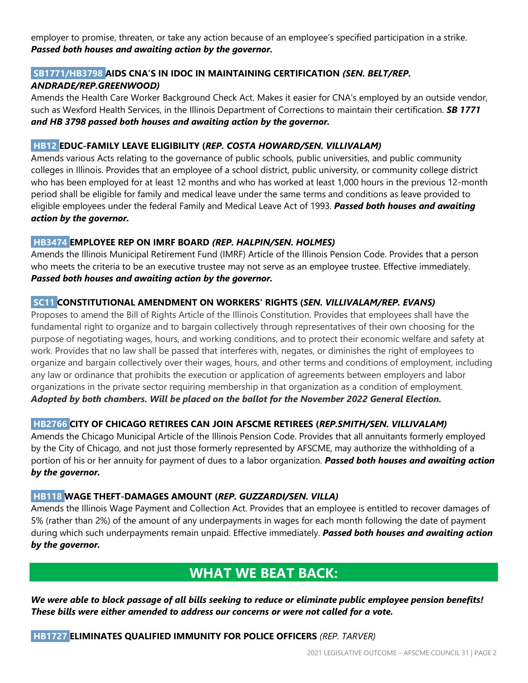employer to promise, threaten, or take any action because of an employee's specified participation in a strike. *Passed both houses and awaiting action by the governor.*

# **SB1771/HB3798 AIDS CNA'S IN IDOC IN MAINTAINING CERTIFICATION** *(SEN. BELT/REP. ANDRADE/REP.GREENWOOD)*

Amends the Health Care Worker Background Check Act. Makes it easier for CNA's employed by an outside vendor, such as Wexford Health Services, in the Illinois Department of Corrections to maintain their certification. *SB 1771 and HB 3798 passed both houses and awaiting action by the governor.*

#### **HB12 EDUC-FAMILY LEAVE ELIGIBILITY (***REP. COSTA HOWARD/SEN. VILLIVALAM)*

Amends various Acts relating to the governance of public schools, public universities, and public community colleges in Illinois. Provides that an employee of a school district, public university, or community college district who has been employed for at least 12 months and who has worked at least 1,000 hours in the previous 12-month period shall be eligible for family and medical leave under the same terms and conditions as leave provided to eligible employees under the federal Family and Medical Leave Act of 1993. *Passed both houses and awaiting action by the governor.*

#### **HB3474 EMPLOYEE REP ON IMRF BOARD** *(REP. HALPIN/SEN. HOLMES)*

Amends the Illinois Municipal Retirement Fund (IMRF) Article of the Illinois Pension Code. Provides that a person who meets the criteria to be an executive trustee may not serve as an employee trustee. Effective immediately. *Passed both houses and awaiting action by the governor.*

#### **SC11 CONSTITUTIONAL AMENDMENT ON WORKERS' RIGHTS (***SEN. VILLIVALAM/REP. EVANS)*

Proposes to amend the Bill of Rights Article of the Illinois Constitution. Provides that employees shall have the fundamental right to organize and to bargain collectively through representatives of their own choosing for the purpose of negotiating wages, hours, and working conditions, and to protect their economic welfare and safety at work. Provides that no law shall be passed that interferes with, negates, or diminishes the right of employees to organize and bargain collectively over their wages, hours, and other terms and conditions of employment, including any law or ordinance that prohibits the execution or application of agreements between employers and labor organizations in the private sector requiring membership in that organization as a condition of employment. *Adopted by both chambers. Will be placed on the ballot for the November 2022 General Election.*

# **HB2766 CITY OF CHICAGO RETIREES CAN JOIN AFSCME RETIREES (***REP.SMITH/SEN. VILLIVALAM)*

Amends the Chicago Municipal Article of the Illinois Pension Code. Provides that all annuitants formerly employed by the City of Chicago, and not just those formerly represented by AFSCME, may authorize the withholding of a portion of his or her annuity for payment of dues to a labor organization. *Passed both houses and awaiting action by the governor.*

#### **HB118 WAGE THEFT-DAMAGES AMOUNT (***REP. GUZZARDI/SEN. VILLA)*

Amends the Illinois Wage Payment and Collection Act. Provides that an employee is entitled to recover damages of 5% (rather than 2%) of the amount of any underpayments in wages for each month following the date of payment during which such underpayments remain unpaid. Effective immediately. *Passed both houses and awaiting action by the governor.*

# **WHAT WE BEAT BACK:**

*We were able to block passage of all bills seeking to reduce or eliminate public employee pension benefits! These bills were either amended to address our concerns or were not called for a vote.*

#### **HB1727 ELIMINATES QUALIFIED IMMUNITY FOR POLICE OFFICERS** *(REP. TARVER)*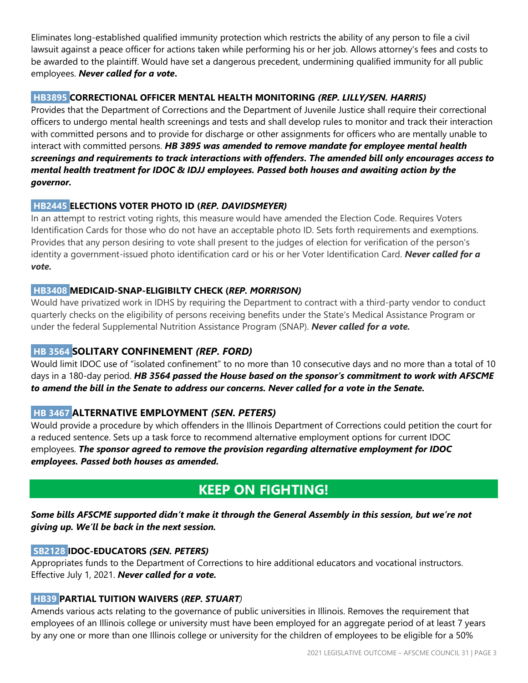Eliminates long-established qualified immunity protection which restricts the ability of any person to file a civil lawsuit against a peace officer for actions taken while performing his or her job. Allows attorney's fees and costs to be awarded to the plaintiff. Would have set a dangerous precedent, undermining qualified immunity for all public employees. *Never called for a vote***.**

# **HB3895 CORRECTIONAL OFFICER MENTAL HEALTH MONITORING** *(REP. LILLY/SEN. HARRIS)*

Provides that the Department of Corrections and the Department of Juvenile Justice shall require their correctional officers to undergo mental health screenings and tests and shall develop rules to monitor and track their interaction with committed persons and to provide for discharge or other assignments for officers who are mentally unable to interact with committed persons. *HB 3895 was amended to remove mandate for employee mental health screenings and requirements to track interactions with offenders. The amended bill only encourages access to mental health treatment for IDOC & IDJJ employees. Passed both houses and awaiting action by the governor.*

## **HB2445 ELECTIONS VOTER PHOTO ID (***REP. DAVIDSMEYER)*

In an attempt to restrict voting rights, this measure would have amended the Election Code. Requires Voters Identification Cards for those who do not have an acceptable photo ID. Sets forth requirements and exemptions. Provides that any person desiring to vote shall present to the judges of election for verification of the person's identity a government-issued photo identification card or his or her Voter Identification Card. *Never called for a vote.*

## **HB3408 MEDICAID-SNAP-ELIGIBILTY CHECK (***REP. MORRISON)*

Would have privatized work in IDHS by requiring the Department to contract with a third-party vendor to conduct quarterly checks on the eligibility of persons receiving benefits under the State's Medical Assistance Program or under the federal Supplemental Nutrition Assistance Program (SNAP). *Never called for a vote.*

# **HB 3564 SOLITARY CONFINEMENT** *(REP. FORD)*

Would limit IDOC use of "isolated confinement" to no more than 10 consecutive days and no more than a total of 10 days in a 180-day period. *HB 3564 passed the House based on the sponsor's commitment to work with AFSCME to amend the bill in the Senate to address our concerns. Never called for a vote in the Senate.*

# **HB 3467 ALTERNATIVE EMPLOYMENT** *(SEN. PETERS)*

Would provide a procedure by which offenders in the Illinois Department of Corrections could petition the court for a reduced sentence. Sets up a task force to recommend alternative employment options for current IDOC employees. *The sponsor agreed to remove the provision regarding alternative employment for IDOC employees. Passed both houses as amended.*

# **KEEP ON FIGHTING!**

## *Some bills AFSCME supported didn't make it through the General Assembly in this session, but we're not giving up. We'll be back in the next session.*

#### **SB2128 IDOC-EDUCATORS** *(SEN. PETERS)*

Appropriates funds to the Department of Corrections to hire additional educators and vocational instructors. Effective July 1, 2021. *Never called for a vote.*

#### **HB39 PARTIAL TUITION WAIVERS (***REP. STUART)*

Amends various acts relating to the governance of public universities in Illinois. Removes the requirement that employees of an Illinois college or university must have been employed for an aggregate period of at least 7 years by any one or more than one Illinois college or university for the children of employees to be eligible for a 50%